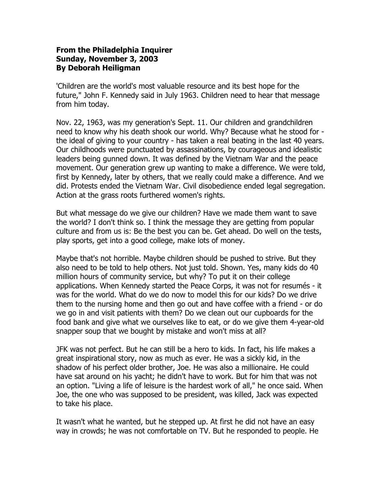## **From the Philadelphia Inquirer Sunday, November 3, 2003 By Deborah Heiligman**

'Children are the world's most valuable resource and its best hope for the future," John F. Kennedy said in July 1963. Children need to hear that message from him today.

Nov. 22, 1963, was my generation's Sept. 11. Our children and grandchildren need to know why his death shook our world. Why? Because what he stood for the ideal of giving to your country - has taken a real beating in the last 40 years. Our childhoods were punctuated by assassinations, by courageous and idealistic leaders being gunned down. It was defined by the Vietnam War and the peace movement. Our generation grew up wanting to make a difference. We were told, first by Kennedy, later by others, that we really could make a difference. And we did. Protests ended the Vietnam War. Civil disobedience ended legal segregation. Action at the grass roots furthered women's rights.

But what message do we give our children? Have we made them want to save the world? I don't think so. I think the message they are getting from popular culture and from us is: Be the best you can be. Get ahead. Do well on the tests, play sports, get into a good college, make lots of money.

Maybe that's not horrible. Maybe children should be pushed to strive. But they also need to be told to help others. Not just told. Shown. Yes, many kids do 40 million hours of community service, but why? To put it on their college applications. When Kennedy started the Peace Corps, it was not for resumés - it was for the world. What do we do now to model this for our kids? Do we drive them to the nursing home and then go out and have coffee with a friend - or do we go in and visit patients with them? Do we clean out our cupboards for the food bank and give what we ourselves like to eat, or do we give them 4-year-old snapper soup that we bought by mistake and won't miss at all?

JFK was not perfect. But he can still be a hero to kids. In fact, his life makes a great inspirational story, now as much as ever. He was a sickly kid, in the shadow of his perfect older brother, Joe. He was also a millionaire. He could have sat around on his yacht; he didn't have to work. But for him that was not an option. "Living a life of leisure is the hardest work of all," he once said. When Joe, the one who was supposed to be president, was killed, Jack was expected to take his place.

It wasn't what he wanted, but he stepped up. At first he did not have an easy way in crowds; he was not comfortable on TV. But he responded to people. He